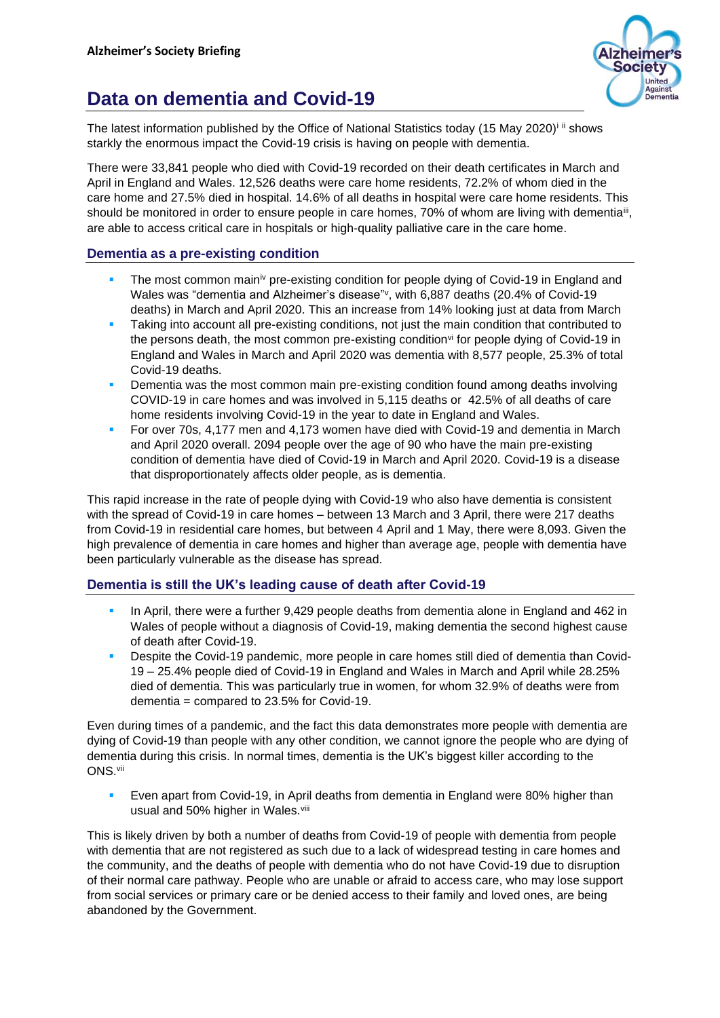

## **Data on dementia and Covid-19**

The latest information published by the Office of National Statistics today (15 May 2020)<sup>i ii</sup> shows starkly the enormous impact the Covid-19 crisis is having on people with dementia.

There were 33,841 people who died with Covid-19 recorded on their death certificates in March and April in England and Wales. 12,526 deaths were care home residents, 72.2% of whom died in the care home and 27.5% died in hospital. 14.6% of all deaths in hospital were care home residents. This should be monitored in order to ensure people in care homes, 70% of whom are living with dementia<sup>iit</sup>, are able to access critical care in hospitals or high-quality palliative care in the care home.

## **Dementia as a pre-existing condition**

- **The most common main**<sup>iv</sup> pre-existing condition for people dying of Covid-19 in England and Wales was "dementia and Alzheimer's disease" v, with 6,887 deaths (20.4% of Covid-19 deaths) in March and April 2020. This an increase from 14% looking just at data from March
- Taking into account all pre-existing conditions, not just the main condition that contributed to the persons death, the most common pre-existing condition<sup>y</sup> for people dying of Covid-19 in England and Wales in March and April 2020 was dementia with 8,577 people, 25.3% of total Covid-19 deaths.
- Dementia was the most common main pre-existing condition found among deaths involving COVID-19 in care homes and was involved in 5,115 deaths or 42.5% of all deaths of care home residents involving Covid-19 in the year to date in England and Wales.
- **For over 70s, 4,177 men and 4,173 women have died with Covid-19 and dementia in March** and April 2020 overall. 2094 people over the age of 90 who have the main pre-existing condition of dementia have died of Covid-19 in March and April 2020. Covid-19 is a disease that disproportionately affects older people, as is dementia.

This rapid increase in the rate of people dying with Covid-19 who also have dementia is consistent with the spread of Covid-19 in care homes – between 13 March and 3 April, there were 217 deaths from Covid-19 in residential care homes, but between 4 April and 1 May, there were 8,093. Given the high prevalence of dementia in care homes and higher than average age, people with dementia have been particularly vulnerable as the disease has spread.

## **Dementia is still the UK's leading cause of death after Covid-19**

- In April, there were a further 9,429 people deaths from dementia alone in England and 462 in Wales of people without a diagnosis of Covid-19, making dementia the second highest cause of death after Covid-19.
- Despite the Covid-19 pandemic, more people in care homes still died of dementia than Covid-19 – 25.4% people died of Covid-19 in England and Wales in March and April while 28.25% died of dementia. This was particularly true in women, for whom 32.9% of deaths were from dementia = compared to 23.5% for Covid-19.

Even during times of a pandemic, and the fact this data demonstrates more people with dementia are dying of Covid-19 than people with any other condition, we cannot ignore the people who are dying of dementia during this crisis. In normal times, dementia is the UK's biggest killer according to the ONS.vii

**Even apart from Covid-19, in April deaths from dementia in England were 80% higher than** usual and 50% higher in Wales.<sup>viii</sup>

This is likely driven by both a number of deaths from Covid-19 of people with dementia from people with dementia that are not registered as such due to a lack of widespread testing in care homes and the community, and the deaths of people with dementia who do not have Covid-19 due to disruption of their normal care pathway. People who are unable or afraid to access care, who may lose support from social services or primary care or be denied access to their family and loved ones, are being abandoned by the Government.